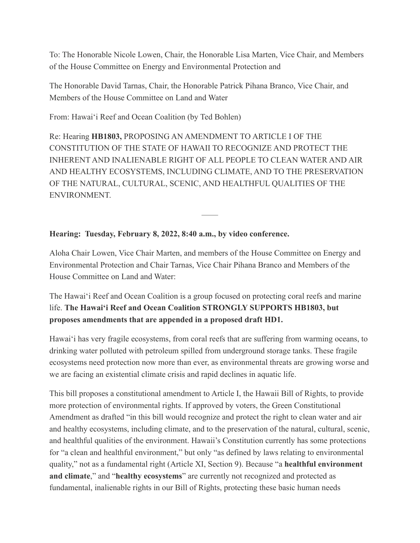To: The Honorable Nicole Lowen, Chair, the Honorable Lisa Marten, Vice Chair, and Members of the House Committee on Energy and Environmental Protection and

The Honorable David Tarnas, Chair, the Honorable Patrick Pihana Branco, Vice Chair, and Members of the House Committee on Land and Water

From: Hawai'i Reef and Ocean Coalition (by Ted Bohlen)

Re: Hearing **HB1803,** PROPOSING AN AMENDMENT TO ARTICLE I OF THE CONSTITUTION OF THE STATE OF HAWAII TO RECOGNIZE AND PROTECT THE INHERENT AND INALIENABLE RIGHT OF ALL PEOPLE TO CLEAN WATER AND AIR AND HEALTHY ECOSYSTEMS, INCLUDING CLIMATE, AND TO THE PRESERVATION OF THE NATURAL, CULTURAL, SCENIC, AND HEALTHFUL QUALITIES OF THE ENVIRONMENT.

——

## **Hearing: Tuesday, February 8, 2022, 8:40 a.m., by video conference.**

Aloha Chair Lowen, Vice Chair Marten, and members of the House Committee on Energy and Environmental Protection and Chair Tarnas, Vice Chair Pihana Branco and Members of the House Committee on Land and Water:

The Hawai'i Reef and Ocean Coalition is a group focused on protecting coral reefs and marine life. **The Hawai'i Reef and Ocean Coalition STRONGLY SUPPORTS HB1803, but proposes amendments that are appended in a proposed draft HD1.**

Hawai'i has very fragile ecosystems, from coral reefs that are suffering from warming oceans, to drinking water polluted with petroleum spilled from underground storage tanks. These fragile ecosystems need protection now more than ever, as environmental threats are growing worse and we are facing an existential climate crisis and rapid declines in aquatic life.

This bill proposes a constitutional amendment to Article I, the Hawaii Bill of Rights, to provide more protection of environmental rights. If approved by voters, the Green Constitutional Amendment as drafted "in this bill would recognize and protect the right to clean water and air and healthy ecosystems, including climate, and to the preservation of the natural, cultural, scenic, and healthful qualities of the environment. Hawaii's Constitution currently has some protections for "a clean and healthful environment," but only "as defined by laws relating to environmental quality," not as a fundamental right (Article XI, Section 9). Because "a **healthful environment and climate**," and "**healthy ecosystems**" are currently not recognized and protected as fundamental, inalienable rights in our Bill of Rights, protecting these basic human needs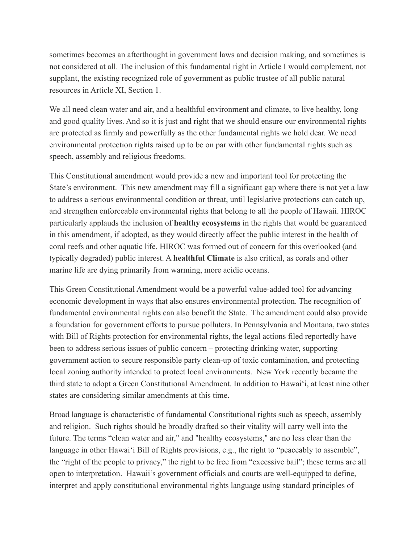sometimes becomes an afterthought in government laws and decision making, and sometimes is not considered at all. The inclusion of this fundamental right in Article I would complement, not supplant, the existing recognized role of government as public trustee of all public natural resources in Article XI, Section 1.

We all need clean water and air, and a healthful environment and climate, to live healthy, long and good quality lives. And so it is just and right that we should ensure our environmental rights are protected as firmly and powerfully as the other fundamental rights we hold dear. We need environmental protection rights raised up to be on par with other fundamental rights such as speech, assembly and religious freedoms.

This Constitutional amendment would provide a new and important tool for protecting the State's environment. This new amendment may fill a significant gap where there is not yet a law to address a serious environmental condition or threat, until legislative protections can catch up, and strengthen enforceable environmental rights that belong to all the people of Hawaii. HIROC particularly applauds the inclusion of **healthy ecosystems** in the rights that would be guaranteed in this amendment, if adopted, as they would directly affect the public interest in the health of coral reefs and other aquatic life. HIROC was formed out of concern for this overlooked (and typically degraded) public interest. A **healthful Climate** is also critical, as corals and other marine life are dying primarily from warming, more acidic oceans.

This Green Constitutional Amendment would be a powerful value-added tool for advancing economic development in ways that also ensures environmental protection. The recognition of fundamental environmental rights can also benefit the State. The amendment could also provide a foundation for government efforts to pursue polluters. In Pennsylvania and Montana, two states with Bill of Rights protection for environmental rights, the legal actions filed reportedly have been to address serious issues of public concern – protecting drinking water, supporting government action to secure responsible party clean-up of toxic contamination, and protecting local zoning authority intended to protect local environments. New York recently became the third state to adopt a Green Constitutional Amendment. In addition to Hawai'i, at least nine other states are considering similar amendments at this time.

Broad language is characteristic of fundamental Constitutional rights such as speech, assembly and religion. Such rights should be broadly drafted so their vitality will carry well into the future. The terms "clean water and air," and "healthy ecosystems," are no less clear than the language in other Hawai'i Bill of Rights provisions, e.g., the right to "peaceably to assemble", the "right of the people to privacy," the right to be free from "excessive bail"; these terms are all open to interpretation. Hawaii's government officials and courts are well-equipped to define, interpret and apply constitutional environmental rights language using standard principles of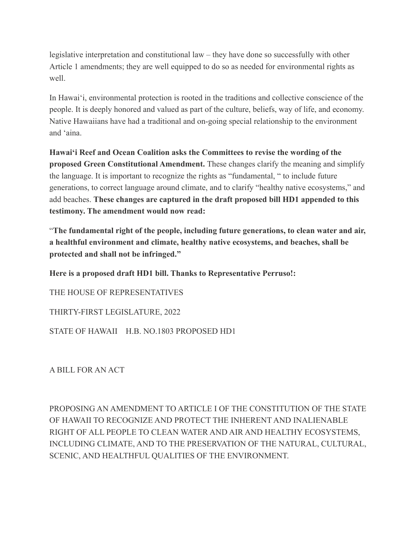legislative interpretation and constitutional law – they have done so successfully with other Article 1 amendments; they are well equipped to do so as needed for environmental rights as well.

In Hawai'i, environmental protection is rooted in the traditions and collective conscience of the people. It is deeply honored and valued as part of the culture, beliefs, way of life, and economy. Native Hawaiians have had a traditional and on-going special relationship to the environment and 'aina.

**Hawai'i Reef and Ocean Coalition asks the Committees to revise the wording of the proposed Green Constitutional Amendment.** These changes clarify the meaning and simplify the language. It is important to recognize the rights as "fundamental, " to include future generations, to correct language around climate, and to clarify "healthy native ecosystems," and add beaches. **These changes are captured in the draft proposed bill HD1 appended to this testimony. The amendment would now read:** 

"**The fundamental right of the people, including future generations, to clean water and air, a healthful environment and climate, healthy native ecosystems, and beaches, shall be protected and shall not be infringed."** 

**Here is a proposed draft HD1 bill. Thanks to Representative Perruso!:**

THE HOUSE OF REPRESENTATIVES

THIRTY-FIRST LEGISLATURE, 2022

STATE OF HAWAII H.B. NO.1803 PROPOSED HD1

A BILL FOR AN ACT

PROPOSING AN AMENDMENT TO ARTICLE I OF THE CONSTITUTION OF THE STATE OF HAWAII TO RECOGNIZE AND PROTECT THE INHERENT AND INALIENABLE RIGHT OF ALL PEOPLE TO CLEAN WATER AND AIR AND HEALTHY ECOSYSTEMS, INCLUDING CLIMATE, AND TO THE PRESERVATION OF THE NATURAL, CULTURAL, SCENIC, AND HEALTHFUL QUALITIES OF THE ENVIRONMENT.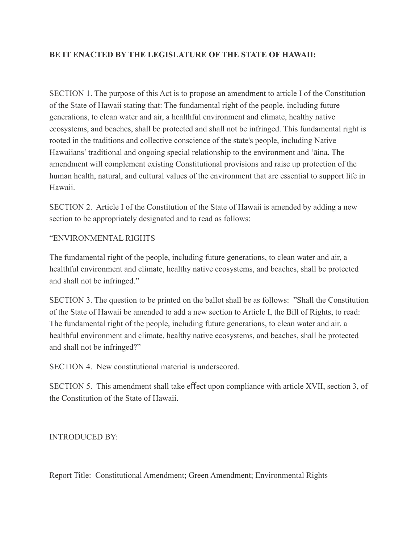## **BE IT ENACTED BY THE LEGISLATURE OF THE STATE OF HAWAII:**

SECTION 1. The purpose of this Act is to propose an amendment to article I of the Constitution of the State of Hawaii stating that: The fundamental right of the people, including future generations, to clean water and air, a healthful environment and climate, healthy native ecosystems, and beaches, shall be protected and shall not be infringed. This fundamental right is rooted in the traditions and collective conscience of the state's people, including Native Hawaiians' traditional and ongoing special relationship to the environment and 'āina. The amendment will complement existing Constitutional provisions and raise up protection of the human health, natural, and cultural values of the environment that are essential to support life in Hawaii.

SECTION 2. Article I of the Constitution of the State of Hawaii is amended by adding a new section to be appropriately designated and to read as follows:

## "ENVIRONMENTAL RIGHTS

The fundamental right of the people, including future generations, to clean water and air, a healthful environment and climate, healthy native ecosystems, and beaches, shall be protected and shall not be infringed."

SECTION 3. The question to be printed on the ballot shall be as follows: "Shall the Constitution of the State of Hawaii be amended to add a new section to Article I, the Bill of Rights, to read: The fundamental right of the people, including future generations, to clean water and air, a healthful environment and climate, healthy native ecosystems, and beaches, shall be protected and shall not be infringed?"

SECTION 4. New constitutional material is underscored.

SECTION 5. This amendment shall take effect upon compliance with article XVII, section 3, of the Constitution of the State of Hawaii.

INTRODUCED BY:

Report Title: Constitutional Amendment; Green Amendment; Environmental Rights